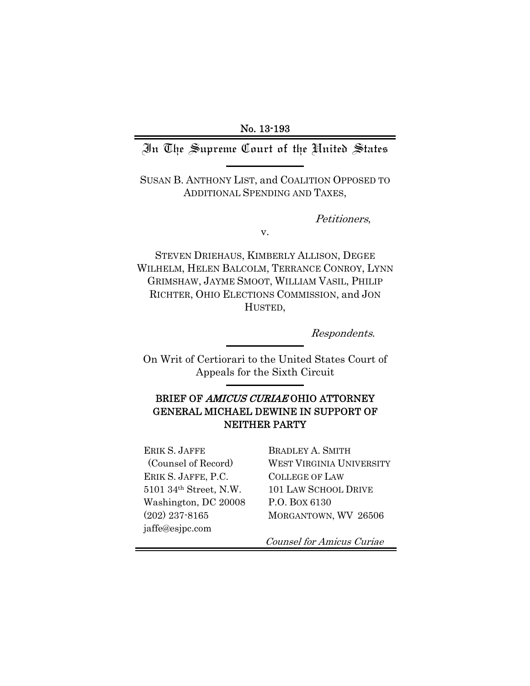No. 13-193

## In The Supreme Court of the United States

SUSAN B. ANTHONY LIST, and COALITION OPPOSED TO ADDITIONAL SPENDING AND TAXES,

Petitioners,

v.

STEVEN DRIEHAUS, KIMBERLY ALLISON, DEGEE WILHELM, HELEN BALCOLM, TERRANCE CONROY, LYNN GRIMSHAW, JAYME SMOOT, WILLIAM VASIL, PHILIP RICHTER, OHIO ELECTIONS COMMISSION, and JON HUSTED,

Respondents.

On Writ of Certiorari to the United States Court of Appeals for the Sixth Circuit

## BRIEF OF AMICUS CURIAE OHIO ATTORNEY GENERAL MICHAEL DEWINE IN SUPPORT OF NEITHER PARTY

ERIK S. JAFFE (Counsel of Record) ERIK S. JAFFE, P.C. 5101 34th Street, N.W. Washington, DC 20008 (202) 237-8165 jaffe@esjpc.com

BRADLEY A. SMITH WEST VIRGINIA UNIVERSITY COLLEGE OF LAW 101 LAW SCHOOL DRIVE P.O. BOX 6130 MORGANTOWN, WV 26506

Counsel for Amicus Curiae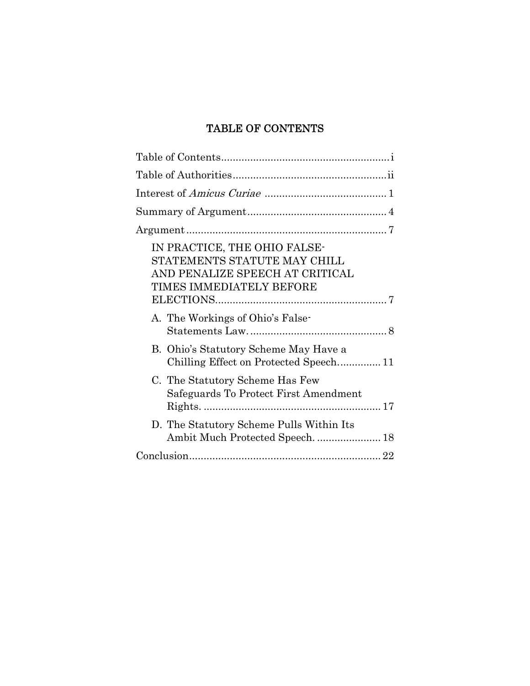# TABLE OF CONTENTS

| IN PRACTICE, THE OHIO FALSE-<br>STATEMENTS STATUTE MAY CHILL<br>AND PENALIZE SPEECH AT CRITICAL<br>TIMES IMMEDIATELY BEFORE |
|-----------------------------------------------------------------------------------------------------------------------------|
| A. The Workings of Ohio's False-                                                                                            |
| B. Ohio's Statutory Scheme May Have a<br>Chilling Effect on Protected Speech 11                                             |
| C. The Statutory Scheme Has Few<br>Safeguards To Protect First Amendment                                                    |
| D. The Statutory Scheme Pulls Within Its                                                                                    |
|                                                                                                                             |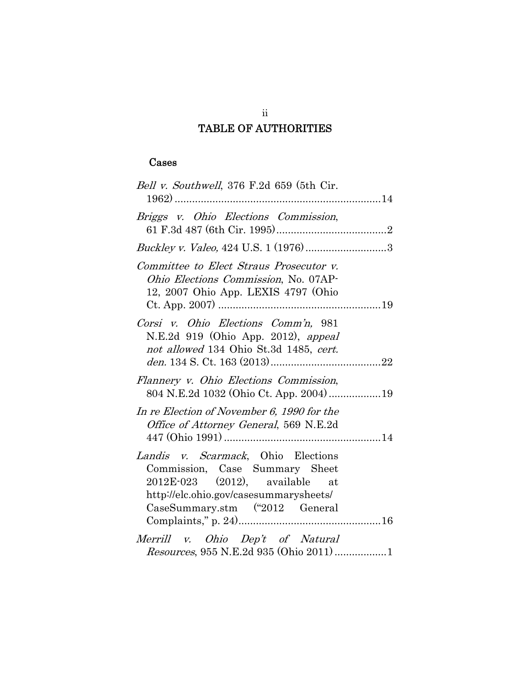# TABLE OF AUTHORITIES

# Cases

| Bell v. Southwell, 376 F.2d 659 (5th Cir.                                                                                                                                               |  |  |
|-----------------------------------------------------------------------------------------------------------------------------------------------------------------------------------------|--|--|
| Briggs v. Ohio Elections Commission,                                                                                                                                                    |  |  |
|                                                                                                                                                                                         |  |  |
| Committee to Elect Straus Prosecutor v.<br>Ohio Elections Commission, No. 07AP-<br>12, 2007 Ohio App. LEXIS 4797 (Ohio                                                                  |  |  |
| Corsi v. Ohio Elections Comm'n, 981<br>N.E.2d 919 (Ohio App. 2012), appeal<br>not allowed 134 Ohio St.3d 1485, cert.                                                                    |  |  |
| Flannery v. Ohio Elections Commission,<br>804 N.E.2d 1032 (Ohio Ct. App. 2004) 19                                                                                                       |  |  |
| In re Election of November 6, 1990 for the<br>Office of Attorney General, 569 N.E.2d                                                                                                    |  |  |
| Landis v. Scarmack, Ohio Elections<br>Commission, Case Summary Sheet<br>$2012E-023$ $(2012)$ , available at<br>http://elc.ohio.gov/casesummarysheets/<br>CaseSummary.stm ("2012 General |  |  |
| Merrill v. Ohio Dep't of Natural<br>Resources, 955 N.E.2d 935 (Ohio 2011) 1                                                                                                             |  |  |

ii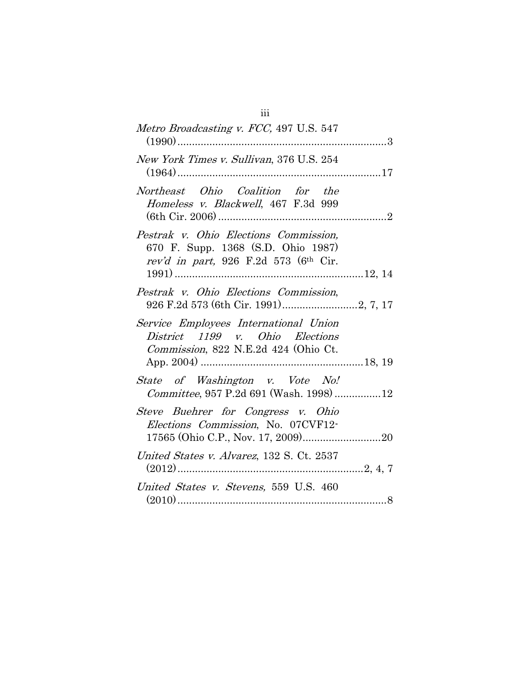| Metro Broadcasting v. FCC, 497 U.S. 547                                                                                          |
|----------------------------------------------------------------------------------------------------------------------------------|
| New York Times v. Sullivan, 376 U.S. 254                                                                                         |
| Northeast Ohio Coalition for the<br>Homeless v. Blackwell, 467 F.3d 999                                                          |
| Pestrak v. Ohio Elections Commission,<br>670 F. Supp. 1368 (S.D. Ohio 1987)<br>rev'd in part, 926 F.2d 573 (6 <sup>th</sup> Cir. |
| Pestrak v. Ohio Elections Commission,                                                                                            |
| Service Employees International Union<br>District 1199 v. Ohio Elections<br>Commission, 822 N.E.2d 424 (Ohio Ct.                 |
| State of Washington v. Vote No!<br>Committee, 957 P.2d 691 (Wash. 1998) 12                                                       |
| Steve Buehrer for Congress v. Ohio<br>Elections Commission, No. 07CVF12-                                                         |
| United States v. Alvarez, 132 S. Ct. 2537                                                                                        |
| United States v. Stevens, 559 U.S. 460                                                                                           |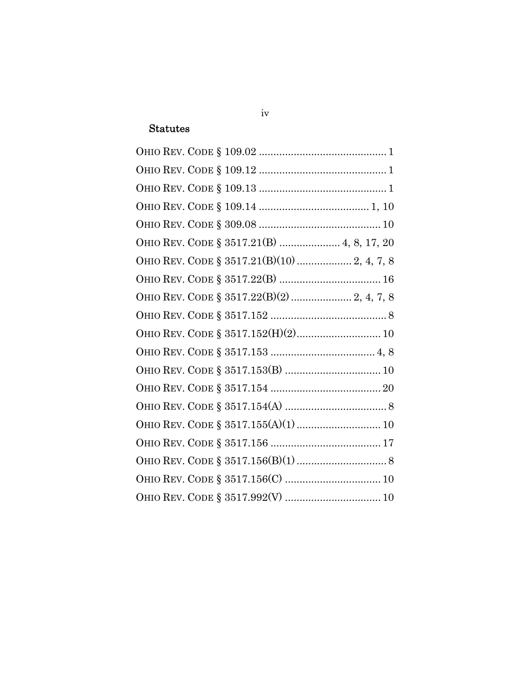### **Statutes**

| OHIO REV. CODE § 3517.21(B)  4, 8, 17, 20  |
|--------------------------------------------|
|                                            |
|                                            |
| OHIO REV. CODE § 3517.22(B)(2)  2, 4, 7, 8 |
|                                            |
|                                            |
|                                            |
|                                            |
|                                            |
|                                            |
|                                            |
|                                            |
|                                            |
|                                            |
|                                            |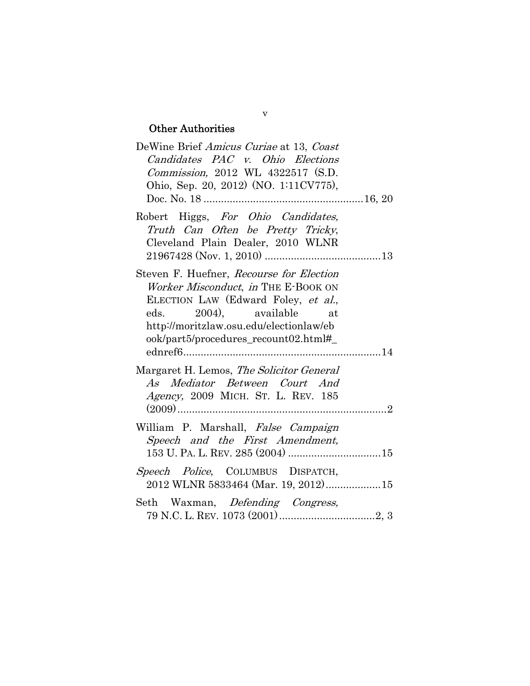# Other Authorities

| DeWine Brief Amicus Curiae at 13, Coast  |  |  |
|------------------------------------------|--|--|
| Candidates PAC v. Ohio Elections         |  |  |
| Commission, 2012 WL 4322517 (S.D.        |  |  |
| Ohio, Sep. 20, 2012) (NO. 1:11CV775),    |  |  |
|                                          |  |  |
| Robert Higgs, For Ohio Candidates,       |  |  |
| Truth Can Often be Pretty Tricky,        |  |  |
| Cleveland Plain Dealer, 2010 WLNR        |  |  |
|                                          |  |  |
| Steven F. Huefner, Recourse for Election |  |  |
| Worker Misconduct, in THE E-BOOK ON      |  |  |
| ELECTION LAW (Edward Foley, et al.,      |  |  |
| eds. 2004), available at                 |  |  |
|                                          |  |  |
| http://moritzlaw.osu.edu/electionlaw/eb  |  |  |
| ook/part5/procedures_recount02.html#_    |  |  |
|                                          |  |  |
| Margaret H. Lemos, The Solicitor General |  |  |
| As Mediator Between Court And            |  |  |
| Agency, 2009 MICH. ST. L. REV. 185       |  |  |
|                                          |  |  |
| William P. Marshall, False Campaign      |  |  |
| Speech and the First Amendment,          |  |  |
|                                          |  |  |
|                                          |  |  |
| Speech Police, COLUMBUS DISPATCH,        |  |  |
| 2012 WLNR 5833464 (Mar. 19, 2012)15      |  |  |
| Seth Waxman, Defending Congress,         |  |  |
|                                          |  |  |

#### v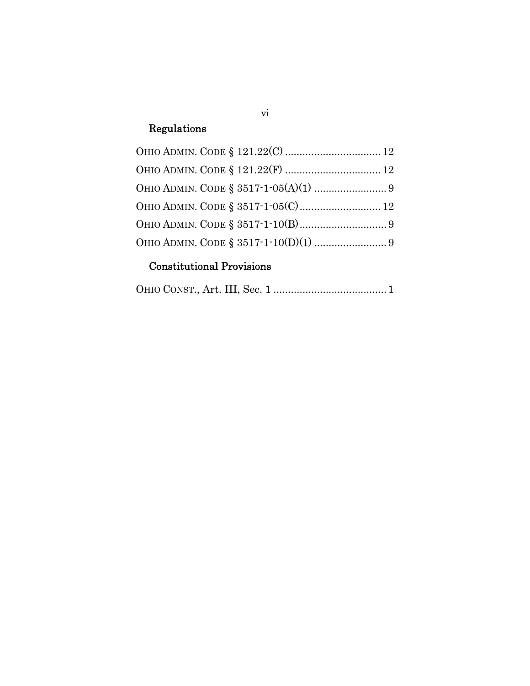# Regulations

# Constitutional Provisions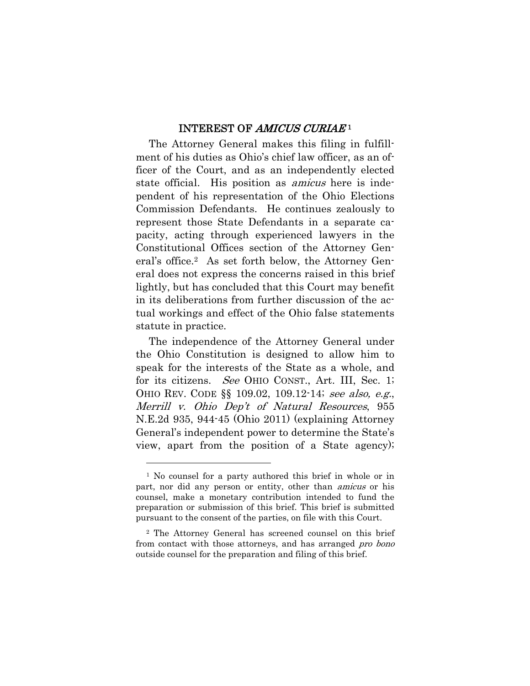#### INTEREST OF AMICUS CURIAE<sup>1</sup>

The Attorney General makes this filing in fulfillment of his duties as Ohio's chief law officer, as an officer of the Court, and as an independently elected state official. His position as *amicus* here is independent of his representation of the Ohio Elections Commission Defendants. He continues zealously to represent those State Defendants in a separate capacity, acting through experienced lawyers in the Constitutional Offices section of the Attorney General's office.2 As set forth below, the Attorney General does not express the concerns raised in this brief lightly, but has concluded that this Court may benefit in its deliberations from further discussion of the actual workings and effect of the Ohio false statements statute in practice.

The independence of the Attorney General under the Ohio Constitution is designed to allow him to speak for the interests of the State as a whole, and for its citizens. See OHIO CONST., Art. III, Sec. 1; OHIO REV. CODE §§ 109.02, 109.12-14; see also, e.g., Merrill v. Ohio Dep't of Natural Resources, 955 N.E.2d 935, 944-45 (Ohio 2011) (explaining Attorney General's independent power to determine the State's view, apart from the position of a State agency);

1

<sup>&</sup>lt;sup>1</sup> No counsel for a party authored this brief in whole or in part, nor did any person or entity, other than *amicus* or his counsel, make a monetary contribution intended to fund the preparation or submission of this brief. This brief is submitted pursuant to the consent of the parties, on file with this Court.

<sup>2</sup> The Attorney General has screened counsel on this brief from contact with those attorneys, and has arranged *pro bono* outside counsel for the preparation and filing of this brief.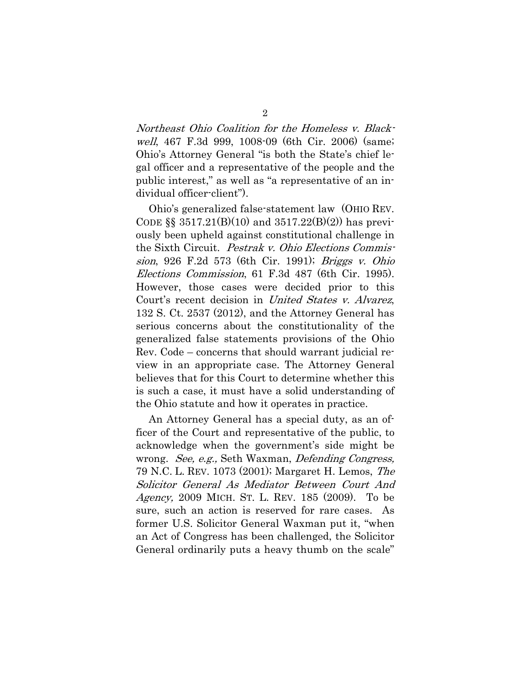Northeast Ohio Coalition for the Homeless v. Blackwell, 467 F.3d 999, 1008-09 (6th Cir. 2006) (same; Ohio's Attorney General "is both the State's chief legal officer and a representative of the people and the public interest," as well as "a representative of an individual officer-client").

Ohio's generalized false-statement law (OHIO REV. CODE  $\S$  3517.21(B)(10) and 3517.22(B)(2)) has previously been upheld against constitutional challenge in the Sixth Circuit. Pestrak v. Ohio Elections Commission, 926 F.2d 573 (6th Cir. 1991); Briggs v. Ohio Elections Commission, 61 F.3d 487 (6th Cir. 1995). However, those cases were decided prior to this Court's recent decision in United States v. Alvarez, 132 S. Ct. 2537 (2012), and the Attorney General has serious concerns about the constitutionality of the generalized false statements provisions of the Ohio Rev. Code – concerns that should warrant judicial review in an appropriate case. The Attorney General believes that for this Court to determine whether this is such a case, it must have a solid understanding of the Ohio statute and how it operates in practice.

An Attorney General has a special duty, as an officer of the Court and representative of the public, to acknowledge when the government's side might be wrong. See, e.g., Seth Waxman, Defending Congress, 79 N.C. L. REV. 1073 (2001); Margaret H. Lemos, The Solicitor General As Mediator Between Court And Agency, 2009 MICH. ST. L. REV. 185 (2009). To be sure, such an action is reserved for rare cases. As former U.S. Solicitor General Waxman put it, "when an Act of Congress has been challenged, the Solicitor General ordinarily puts a heavy thumb on the scale"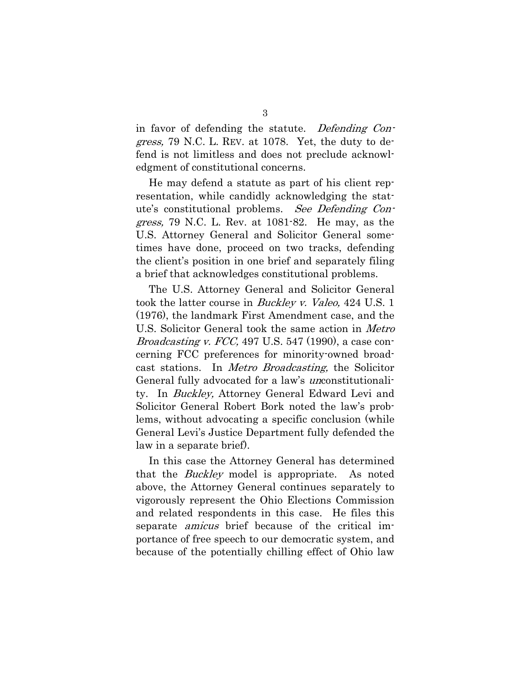in favor of defending the statute. Defending Con*gress*, 79 N.C. L. REV. at 1078. Yet, the duty to defend is not limitless and does not preclude acknowledgment of constitutional concerns.

He may defend a statute as part of his client representation, while candidly acknowledging the statute's constitutional problems. See Defending Congress, 79 N.C. L. Rev. at 1081-82. He may, as the U.S. Attorney General and Solicitor General sometimes have done, proceed on two tracks, defending the client's position in one brief and separately filing a brief that acknowledges constitutional problems.

The U.S. Attorney General and Solicitor General took the latter course in Buckley v. Valeo, 424 U.S. 1 (1976), the landmark First Amendment case, and the U.S. Solicitor General took the same action in Metro *Broadcasting v. FCC*, 497 U.S. 547 (1990), a case concerning FCC preferences for minority-owned broadcast stations. In Metro Broadcasting, the Solicitor General fully advocated for a law's unconstitutionality. In Buckley, Attorney General Edward Levi and Solicitor General Robert Bork noted the law's problems, without advocating a specific conclusion (while General Levi's Justice Department fully defended the law in a separate brief).

In this case the Attorney General has determined that the *Buckley* model is appropriate. As noted above, the Attorney General continues separately to vigorously represent the Ohio Elections Commission and related respondents in this case. He files this separate *amicus* brief because of the critical importance of free speech to our democratic system, and because of the potentially chilling effect of Ohio law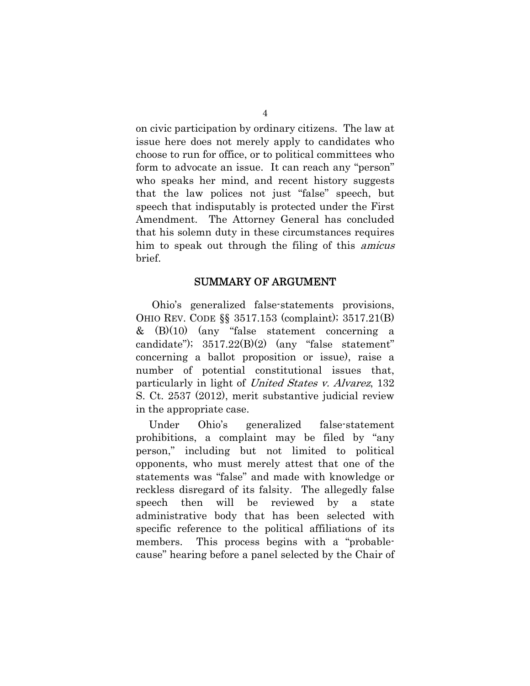on civic participation by ordinary citizens. The law at issue here does not merely apply to candidates who choose to run for office, or to political committees who form to advocate an issue. It can reach any "person" who speaks her mind, and recent history suggests that the law polices not just "false" speech, but speech that indisputably is protected under the First Amendment. The Attorney General has concluded that his solemn duty in these circumstances requires him to speak out through the filing of this amicus brief.

#### SUMMARY OF ARGUMENT

 Ohio's generalized false-statements provisions, OHIO REV. CODE §§ 3517.153 (complaint); 3517.21(B) & (B)(10) (any "false statement concerning a candidate");  $3517.22(B)(2)$  (any "false statement" concerning a ballot proposition or issue), raise a number of potential constitutional issues that, particularly in light of United States v. Alvarez, 132 S. Ct. 2537 (2012), merit substantive judicial review in the appropriate case.

Under Ohio's generalized false-statement prohibitions, a complaint may be filed by "any person," including but not limited to political opponents, who must merely attest that one of the statements was "false" and made with knowledge or reckless disregard of its falsity. The allegedly false speech then will be reviewed by a state administrative body that has been selected with specific reference to the political affiliations of its members. This process begins with a "probablecause" hearing before a panel selected by the Chair of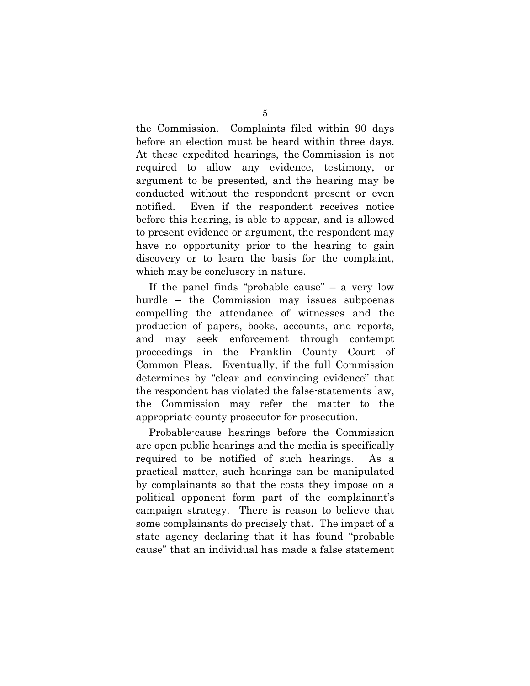the Commission. Complaints filed within 90 days before an election must be heard within three days. At these expedited hearings, the Commission is not required to allow any evidence, testimony, or argument to be presented, and the hearing may be conducted without the respondent present or even notified. Even if the respondent receives notice before this hearing, is able to appear, and is allowed to present evidence or argument, the respondent may have no opportunity prior to the hearing to gain discovery or to learn the basis for the complaint, which may be conclusory in nature.

If the panel finds "probable cause" – a very low hurdle – the Commission may issues subpoenas compelling the attendance of witnesses and the production of papers, books, accounts, and reports, and may seek enforcement through contempt proceedings in the Franklin County Court of Common Pleas. Eventually, if the full Commission determines by "clear and convincing evidence" that the respondent has violated the false-statements law, the Commission may refer the matter to the appropriate county prosecutor for prosecution.

Probable-cause hearings before the Commission are open public hearings and the media is specifically required to be notified of such hearings. As a practical matter, such hearings can be manipulated by complainants so that the costs they impose on a political opponent form part of the complainant's campaign strategy. There is reason to believe that some complainants do precisely that. The impact of a state agency declaring that it has found "probable cause" that an individual has made a false statement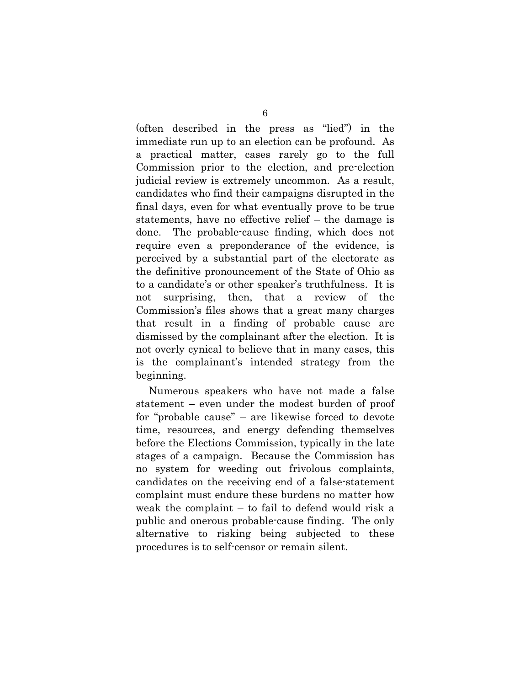(often described in the press as "lied") in the immediate run up to an election can be profound. As a practical matter, cases rarely go to the full Commission prior to the election, and pre-election judicial review is extremely uncommon. As a result, candidates who find their campaigns disrupted in the final days, even for what eventually prove to be true statements, have no effective relief – the damage is done. The probable-cause finding, which does not require even a preponderance of the evidence, is perceived by a substantial part of the electorate as the definitive pronouncement of the State of Ohio as to a candidate's or other speaker's truthfulness. It is not surprising, then, that a review of the Commission's files shows that a great many charges that result in a finding of probable cause are dismissed by the complainant after the election. It is not overly cynical to believe that in many cases, this is the complainant's intended strategy from the beginning.

Numerous speakers who have not made a false statement – even under the modest burden of proof for "probable cause" – are likewise forced to devote time, resources, and energy defending themselves before the Elections Commission, typically in the late stages of a campaign. Because the Commission has no system for weeding out frivolous complaints, candidates on the receiving end of a false-statement complaint must endure these burdens no matter how weak the complaint – to fail to defend would risk a public and onerous probable-cause finding. The only alternative to risking being subjected to these procedures is to self-censor or remain silent.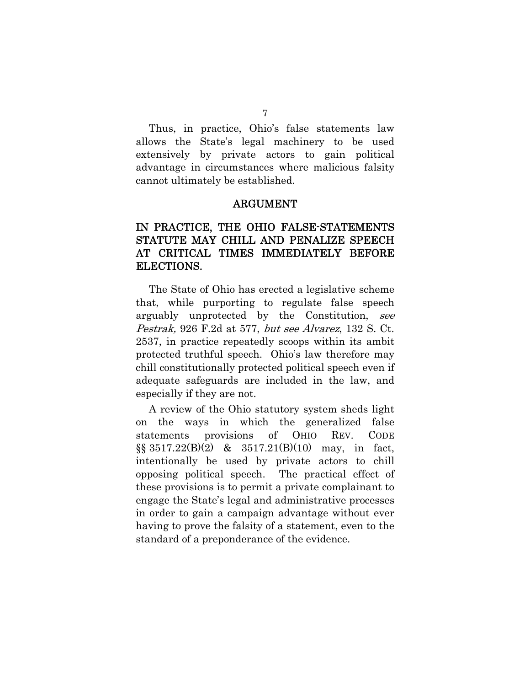Thus, in practice, Ohio's false statements law allows the State's legal machinery to be used extensively by private actors to gain political advantage in circumstances where malicious falsity cannot ultimately be established.

#### ARGUMENT

## IN PRACTICE, THE OHIO FALSE-STATEMENTS STATUTE MAY CHILL AND PENALIZE SPEECH AT CRITICAL TIMES IMMEDIATELY BEFORE ELECTIONS.

The State of Ohio has erected a legislative scheme that, while purporting to regulate false speech arguably unprotected by the Constitution, see Pestrak, 926 F.2d at 577, but see Alvarez, 132 S. Ct. 2537, in practice repeatedly scoops within its ambit protected truthful speech. Ohio's law therefore may chill constitutionally protected political speech even if adequate safeguards are included in the law, and especially if they are not.

A review of the Ohio statutory system sheds light on the ways in which the generalized false statements provisions of OHIO REV. CODE  $\S$ § 3517.22(B)(2) & 3517.21(B)(10) may, in fact, intentionally be used by private actors to chill opposing political speech. The practical effect of these provisions is to permit a private complainant to engage the State's legal and administrative processes in order to gain a campaign advantage without ever having to prove the falsity of a statement, even to the standard of a preponderance of the evidence.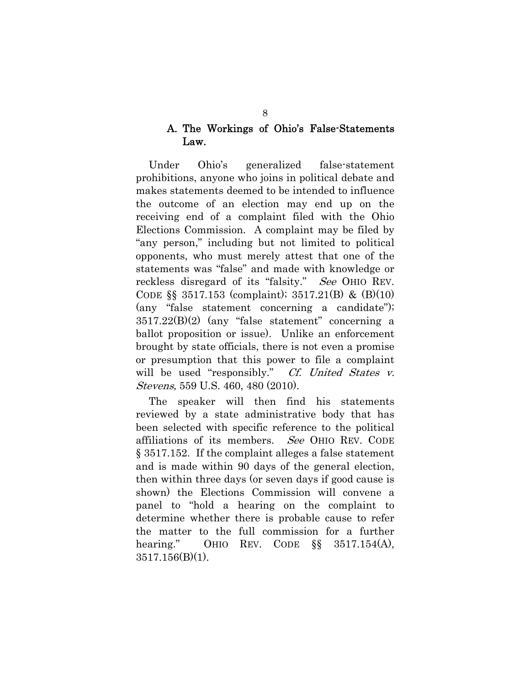## A. The Workings of Ohio's False-Statements Law.

Under Ohio's generalized false-statement prohibitions, anyone who joins in political debate and makes statements deemed to be intended to influence the outcome of an election may end up on the receiving end of a complaint filed with the Ohio Elections Commission. A complaint may be filed by "any person," including but not limited to political opponents, who must merely attest that one of the statements was "false" and made with knowledge or reckless disregard of its "falsity." See OHIO REV. CODE §§ 3517.153 (complaint); 3517.21(B) & (B)(10) (any "false statement concerning a candidate"); 3517.22(B)(2) (any "false statement" concerning a ballot proposition or issue). Unlike an enforcement brought by state officials, there is not even a promise or presumption that this power to file a complaint will be used "responsibly." *Cf. United States v.* Stevens, 559 U.S. 460, 480 (2010).

The speaker will then find his statements reviewed by a state administrative body that has been selected with specific reference to the political affiliations of its members. See OHIO REV. CODE § 3517.152. If the complaint alleges a false statement and is made within 90 days of the general election, then within three days (or seven days if good cause is shown) the Elections Commission will convene a panel to "hold a hearing on the complaint to determine whether there is probable cause to refer the matter to the full commission for a further hearing." OHIO REV. CODE  $\S$ § 3517.154(A), 3517.156(B)(1).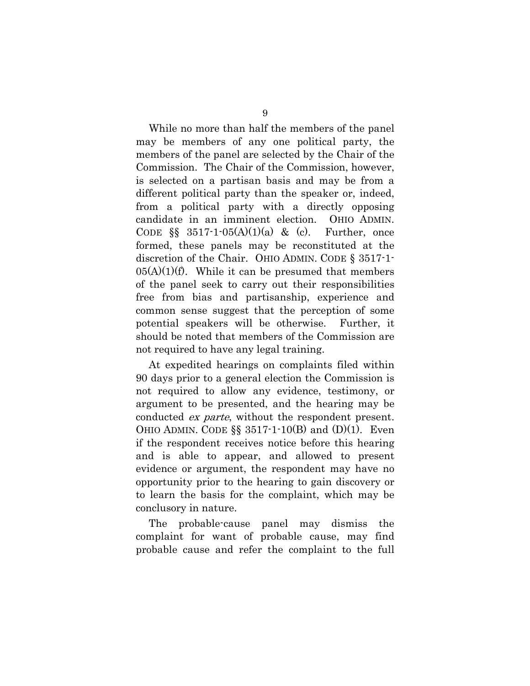While no more than half the members of the panel may be members of any one political party, the members of the panel are selected by the Chair of the Commission. The Chair of the Commission, however, is selected on a partisan basis and may be from a different political party than the speaker or, indeed, from a political party with a directly opposing candidate in an imminent election. OHIO ADMIN. CODE  $\S$  3517-1-05(A)(1)(a) & (c). Further, once formed, these panels may be reconstituted at the discretion of the Chair. OHIO ADMIN. CODE § 3517-1-  $05(A)(1)(f)$ . While it can be presumed that members of the panel seek to carry out their responsibilities free from bias and partisanship, experience and common sense suggest that the perception of some potential speakers will be otherwise. Further, it should be noted that members of the Commission are not required to have any legal training.

At expedited hearings on complaints filed within 90 days prior to a general election the Commission is not required to allow any evidence, testimony, or argument to be presented, and the hearing may be conducted *ex parte*, without the respondent present. OHIO ADMIN. CODE  $\S$  3517-1-10(B) and (D)(1). Even if the respondent receives notice before this hearing and is able to appear, and allowed to present evidence or argument, the respondent may have no opportunity prior to the hearing to gain discovery or to learn the basis for the complaint, which may be conclusory in nature.

The probable-cause panel may dismiss the complaint for want of probable cause, may find probable cause and refer the complaint to the full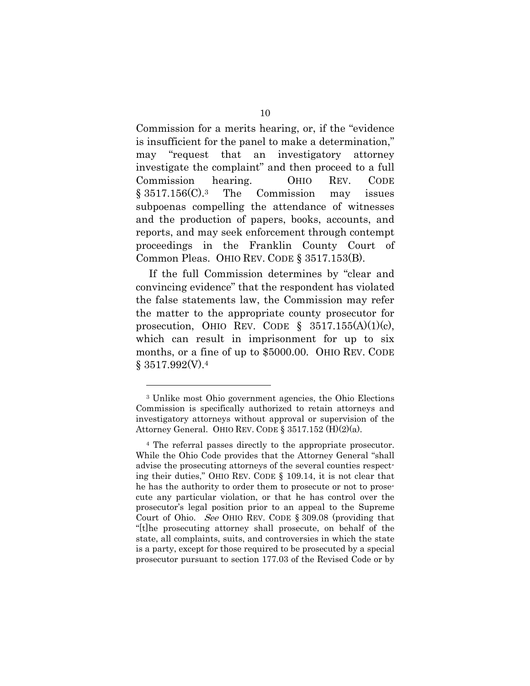Commission for a merits hearing, or, if the "evidence is insufficient for the panel to make a determination," may "request that an investigatory attorney investigate the complaint" and then proceed to a full Commission hearing. OHIO REV. CODE § 3517.156(C).3 The Commission may issues subpoenas compelling the attendance of witnesses and the production of papers, books, accounts, and reports, and may seek enforcement through contempt proceedings in the Franklin County Court of Common Pleas. OHIO REV. CODE § 3517.153(B).

If the full Commission determines by "clear and convincing evidence" that the respondent has violated the false statements law, the Commission may refer the matter to the appropriate county prosecutor for prosecution, OHIO REV. CODE  $\S$  3517.155(A)(1)(c), which can result in imprisonment for up to six months, or a fine of up to \$5000.00. OHIO REV. CODE  $§ 3517.992(V).4$ 

1

<sup>3</sup> Unlike most Ohio government agencies, the Ohio Elections Commission is specifically authorized to retain attorneys and investigatory attorneys without approval or supervision of the Attorney General. OHIO REV. CODE § 3517.152 (H)(2)(a).

<sup>4</sup> The referral passes directly to the appropriate prosecutor. While the Ohio Code provides that the Attorney General "shall advise the prosecuting attorneys of the several counties respecting their duties," OHIO REV. CODE § 109.14, it is not clear that he has the authority to order them to prosecute or not to prosecute any particular violation, or that he has control over the prosecutor's legal position prior to an appeal to the Supreme Court of Ohio. See OHIO REV. CODE § 309.08 (providing that "[t]he prosecuting attorney shall prosecute, on behalf of the state, all complaints, suits, and controversies in which the state is a party, except for those required to be prosecuted by a special prosecutor pursuant to section 177.03 of the Revised Code or by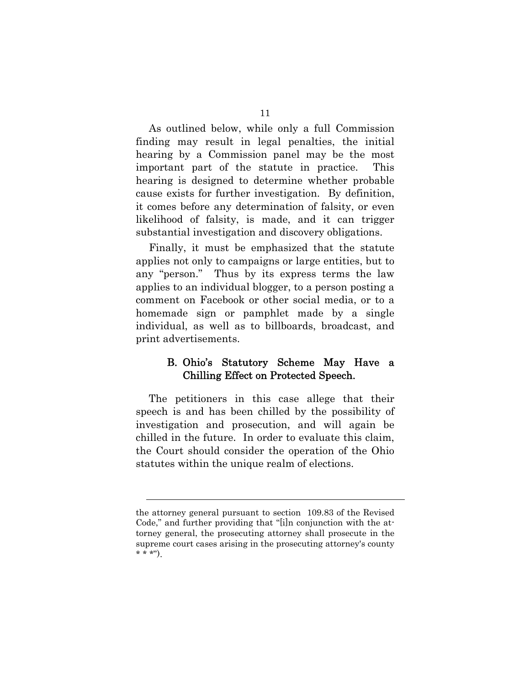As outlined below, while only a full Commission finding may result in legal penalties, the initial hearing by a Commission panel may be the most important part of the statute in practice. This hearing is designed to determine whether probable cause exists for further investigation. By definition, it comes before any determination of falsity, or even likelihood of falsity, is made, and it can trigger substantial investigation and discovery obligations.

Finally, it must be emphasized that the statute applies not only to campaigns or large entities, but to any "person." Thus by its express terms the law applies to an individual blogger, to a person posting a comment on Facebook or other social media, or to a homemade sign or pamphlet made by a single individual, as well as to billboards, broadcast, and print advertisements.

## B. Ohio's Statutory Scheme May Have a Chilling Effect on Protected Speech.

The petitioners in this case allege that their speech is and has been chilled by the possibility of investigation and prosecution, and will again be chilled in the future. In order to evaluate this claim, the Court should consider the operation of the Ohio statutes within the unique realm of elections.

l

the attorney general pursuant to section 109.83 of the Revised Code," and further providing that "[i]n conjunction with the attorney general, the prosecuting attorney shall prosecute in the supreme court cases arising in the prosecuting attorney's county  $* * *")$ .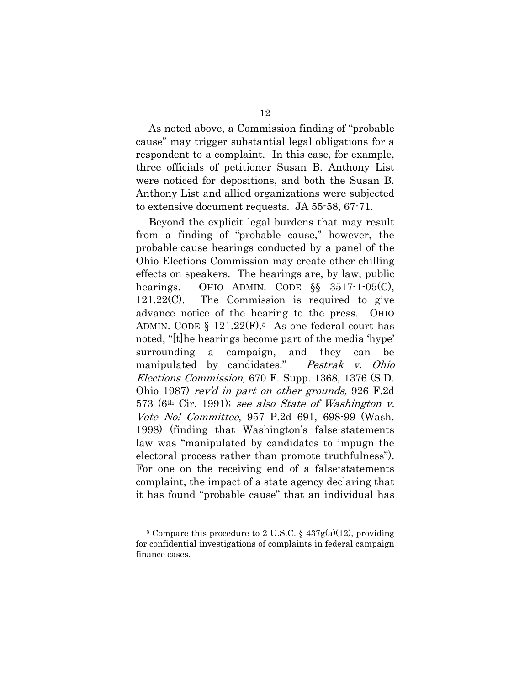As noted above, a Commission finding of "probable cause" may trigger substantial legal obligations for a respondent to a complaint. In this case, for example, three officials of petitioner Susan B. Anthony List were noticed for depositions, and both the Susan B. Anthony List and allied organizations were subjected to extensive document requests. JA 55-58, 67-71.

Beyond the explicit legal burdens that may result from a finding of "probable cause," however, the probable-cause hearings conducted by a panel of the Ohio Elections Commission may create other chilling effects on speakers. The hearings are, by law, public hearings. OHIO ADMIN. CODE  $\S$ § 3517-1-05(C), 121.22(C). The Commission is required to give advance notice of the hearing to the press. OHIO ADMIN. CODE  $\S$  121.22 $(F)$ .<sup>5</sup> As one federal court has noted, "[t]he hearings become part of the media 'hype' surrounding a campaign, and they can be manipulated by candidates." Pestrak v. Ohio Elections Commission, 670 F. Supp. 1368, 1376 (S.D. Ohio 1987) rev'd in part on other grounds, 926 F.2d 573 (6th Cir. 1991); see also State of Washington v. Vote No! Committee, 957 P.2d 691, 698-99 (Wash. 1998) (finding that Washington's false-statements law was "manipulated by candidates to impugn the electoral process rather than promote truthfulness"). For one on the receiving end of a false-statements complaint, the impact of a state agency declaring that it has found "probable cause" that an individual has

1

<sup>&</sup>lt;sup>5</sup> Compare this procedure to 2 U.S.C. §  $437g(a)(12)$ , providing for confidential investigations of complaints in federal campaign finance cases.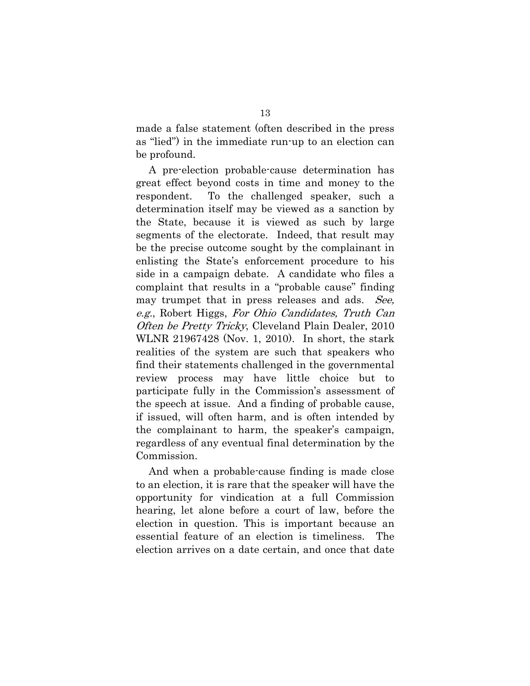made a false statement (often described in the press as "lied") in the immediate run-up to an election can be profound.

A pre-election probable-cause determination has great effect beyond costs in time and money to the respondent. To the challenged speaker, such a determination itself may be viewed as a sanction by the State, because it is viewed as such by large segments of the electorate. Indeed, that result may be the precise outcome sought by the complainant in enlisting the State's enforcement procedure to his side in a campaign debate. A candidate who files a complaint that results in a "probable cause" finding may trumpet that in press releases and ads. See, e.g., Robert Higgs, For Ohio Candidates, Truth Can Often be Pretty Tricky, Cleveland Plain Dealer, 2010 WLNR 21967428 (Nov. 1, 2010). In short, the stark realities of the system are such that speakers who find their statements challenged in the governmental review process may have little choice but to participate fully in the Commission's assessment of the speech at issue. And a finding of probable cause, if issued, will often harm, and is often intended by the complainant to harm, the speaker's campaign, regardless of any eventual final determination by the Commission.

And when a probable-cause finding is made close to an election, it is rare that the speaker will have the opportunity for vindication at a full Commission hearing, let alone before a court of law, before the election in question. This is important because an essential feature of an election is timeliness. The election arrives on a date certain, and once that date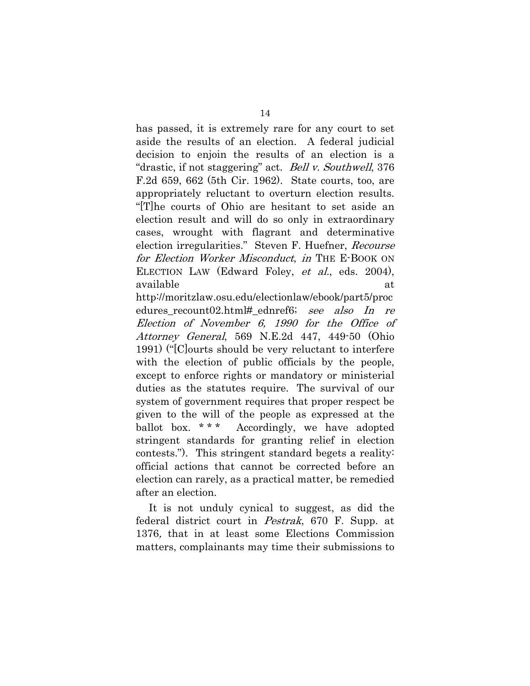has passed, it is extremely rare for any court to set aside the results of an election. A federal judicial decision to enjoin the results of an election is a "drastic, if not staggering" act. *Bell v. Southwell*, 376 F.2d 659, 662 (5th Cir. 1962). State courts, too, are appropriately reluctant to overturn election results. "[T]he courts of Ohio are hesitant to set aside an election result and will do so only in extraordinary cases, wrought with flagrant and determinative election irregularities." Steven F. Huefner, Recourse for Election Worker Misconduct, in THE E-BOOK ON ELECTION LAW (Edward Foley, *et al.*, eds. 2004), available at a state of  $\alpha$ 

http://moritzlaw.osu.edu/electionlaw/ebook/part5/proc edures recount02.html# ednref6; see also In re Election of November 6, 1990 for the Office of Attorney General, 569 N.E.2d 447, 449-50 (Ohio 1991) ("[C]ourts should be very reluctant to interfere with the election of public officials by the people, except to enforce rights or mandatory or ministerial duties as the statutes require. The survival of our system of government requires that proper respect be given to the will of the people as expressed at the ballot box. \*\*\* Accordingly, we have adopted stringent standards for granting relief in election contests."). This stringent standard begets a reality: official actions that cannot be corrected before an election can rarely, as a practical matter, be remedied after an election.

It is not unduly cynical to suggest, as did the federal district court in Pestrak, 670 F. Supp. at 1376, that in at least some Elections Commission matters, complainants may time their submissions to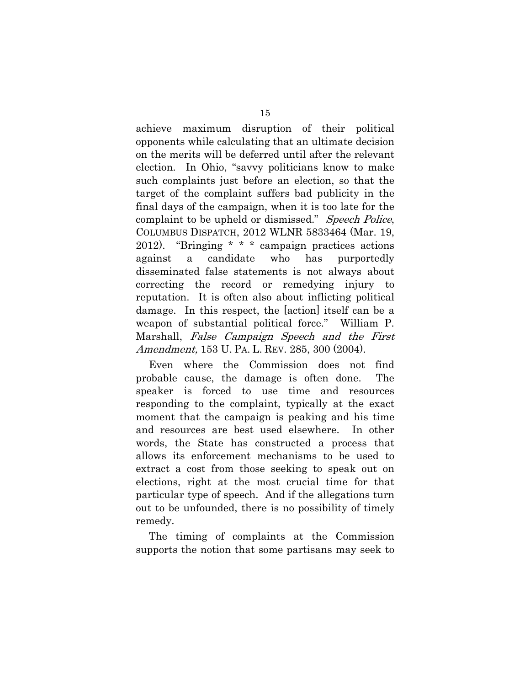achieve maximum disruption of their political opponents while calculating that an ultimate decision on the merits will be deferred until after the relevant election. In Ohio, "savvy politicians know to make such complaints just before an election, so that the target of the complaint suffers bad publicity in the final days of the campaign, when it is too late for the complaint to be upheld or dismissed." Speech Police, COLUMBUS DISPATCH, 2012 WLNR 5833464 (Mar. 19, 2012). "Bringing \* \* \* campaign practices actions against a candidate who has purportedly disseminated false statements is not always about correcting the record or remedying injury to reputation. It is often also about inflicting political damage. In this respect, the [action] itself can be a weapon of substantial political force." William P. Marshall, False Campaign Speech and the First Amendment, 153 U. PA. L. REV. 285, 300 (2004).

Even where the Commission does not find probable cause, the damage is often done. The speaker is forced to use time and resources responding to the complaint, typically at the exact moment that the campaign is peaking and his time and resources are best used elsewhere. In other words, the State has constructed a process that allows its enforcement mechanisms to be used to extract a cost from those seeking to speak out on elections, right at the most crucial time for that particular type of speech. And if the allegations turn out to be unfounded, there is no possibility of timely remedy.

The timing of complaints at the Commission supports the notion that some partisans may seek to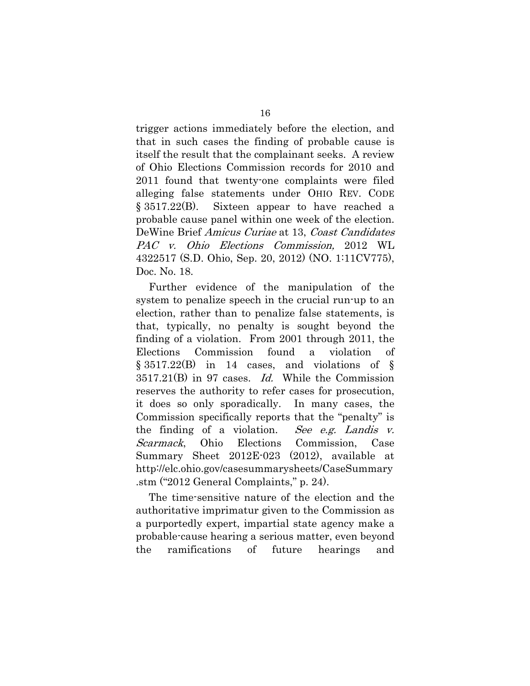trigger actions immediately before the election, and that in such cases the finding of probable cause is itself the result that the complainant seeks. A review of Ohio Elections Commission records for 2010 and 2011 found that twenty-one complaints were filed alleging false statements under OHIO REV. CODE § 3517.22(B). Sixteen appear to have reached a probable cause panel within one week of the election. DeWine Brief Amicus Curiae at 13, Coast Candidates PAC v. Ohio Elections Commission, 2012 WL 4322517 (S.D. Ohio, Sep. 20, 2012) (NO. 1:11CV775), Doc. No. 18.

Further evidence of the manipulation of the system to penalize speech in the crucial run-up to an election, rather than to penalize false statements, is that, typically, no penalty is sought beyond the finding of a violation. From 2001 through 2011, the Elections Commission found a violation of § 3517.22(B) in 14 cases, and violations of §  $3517.21(B)$  in 97 cases. *Id.* While the Commission reserves the authority to refer cases for prosecution, it does so only sporadically. In many cases, the Commission specifically reports that the "penalty" is the finding of a violation. See e.g. Landis  $v$ . Scarmack, Ohio Elections Commission, Case Summary Sheet 2012E-023 (2012), available at http://elc.ohio.gov/casesummarysheets/CaseSummary .stm ("2012 General Complaints," p. 24).

The time-sensitive nature of the election and the authoritative imprimatur given to the Commission as a purportedly expert, impartial state agency make a probable-cause hearing a serious matter, even beyond the ramifications of future hearings and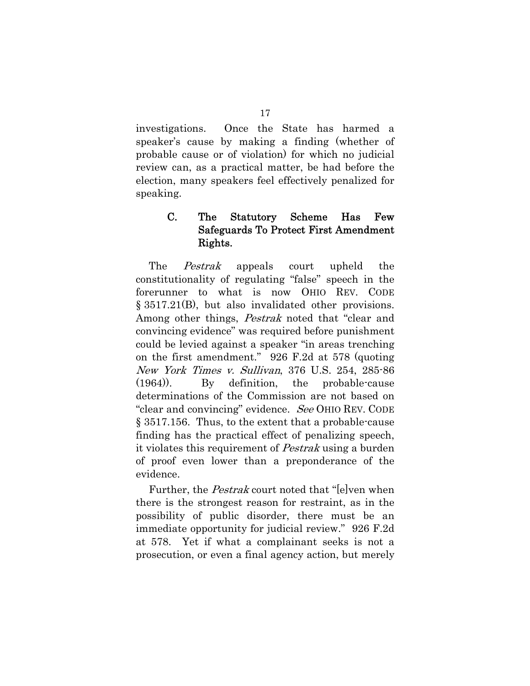investigations. Once the State has harmed a speaker's cause by making a finding (whether of probable cause or of violation) for which no judicial review can, as a practical matter, be had before the election, many speakers feel effectively penalized for speaking.

## C. The Statutory Scheme Has Few Safeguards To Protect First Amendment Rights.

The *Pestrak* appeals court upheld the constitutionality of regulating "false" speech in the forerunner to what is now OHIO REV. CODE § 3517.21(B), but also invalidated other provisions. Among other things, *Pestrak* noted that "clear and convincing evidence" was required before punishment could be levied against a speaker "in areas trenching on the first amendment." 926 F.2d at 578 (quoting New York Times v. Sullivan, 376 U.S. 254, 285-86 (1964)). By definition, the probable-cause determinations of the Commission are not based on "clear and convincing" evidence. See OHIO REV. CODE § 3517.156. Thus, to the extent that a probable-cause finding has the practical effect of penalizing speech, it violates this requirement of Pestrak using a burden of proof even lower than a preponderance of the evidence.

Further, the *Pestrak* court noted that "lelven when there is the strongest reason for restraint, as in the possibility of public disorder, there must be an immediate opportunity for judicial review." 926 F.2d at 578. Yet if what a complainant seeks is not a prosecution, or even a final agency action, but merely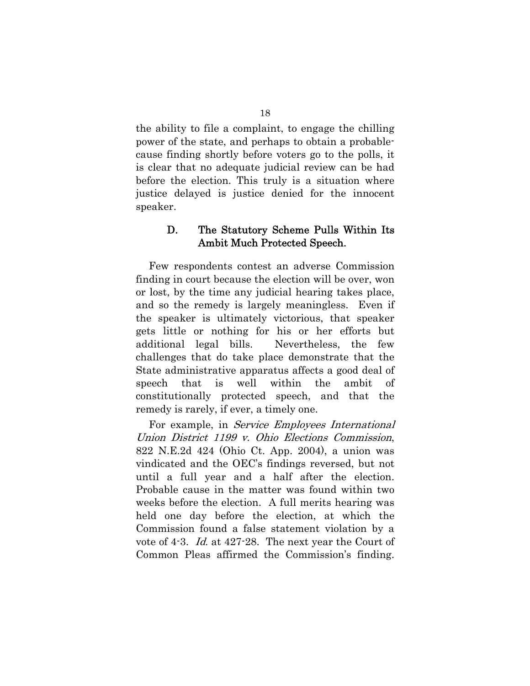the ability to file a complaint, to engage the chilling power of the state, and perhaps to obtain a probablecause finding shortly before voters go to the polls, it is clear that no adequate judicial review can be had before the election. This truly is a situation where justice delayed is justice denied for the innocent speaker.

## D. The Statutory Scheme Pulls Within Its Ambit Much Protected Speech.

Few respondents contest an adverse Commission finding in court because the election will be over, won or lost, by the time any judicial hearing takes place, and so the remedy is largely meaningless. Even if the speaker is ultimately victorious, that speaker gets little or nothing for his or her efforts but additional legal bills. Nevertheless, the few challenges that do take place demonstrate that the State administrative apparatus affects a good deal of speech that is well within the ambit of constitutionally protected speech, and that the remedy is rarely, if ever, a timely one.

For example, in Service Employees International Union District 1199 v. Ohio Elections Commission, 822 N.E.2d 424 (Ohio Ct. App. 2004), a union was vindicated and the OEC's findings reversed, but not until a full year and a half after the election. Probable cause in the matter was found within two weeks before the election. A full merits hearing was held one day before the election, at which the Commission found a false statement violation by a vote of 4-3. Id. at 427-28. The next year the Court of Common Pleas affirmed the Commission's finding.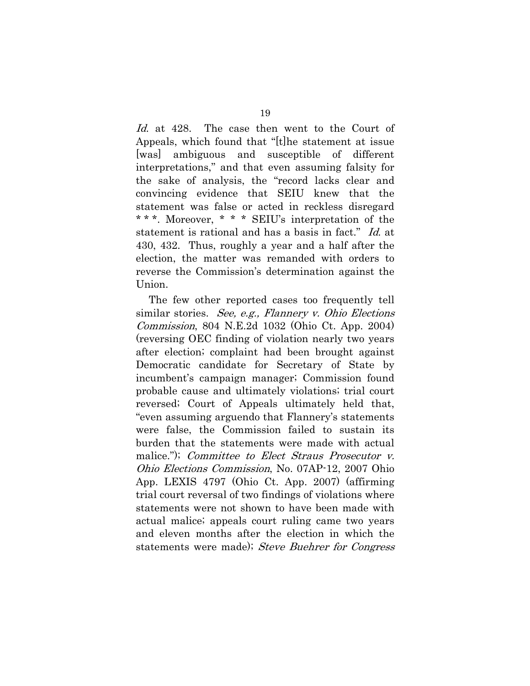Id. at 428. The case then went to the Court of Appeals, which found that "[t]he statement at issue [was] ambiguous and susceptible of different interpretations," and that even assuming falsity for the sake of analysis, the "record lacks clear and convincing evidence that SEIU knew that the statement was false or acted in reckless disregard \* \* \*. Moreover, \* \* \* SEIU's interpretation of the statement is rational and has a basis in fact." Id. at 430, 432. Thus, roughly a year and a half after the election, the matter was remanded with orders to reverse the Commission's determination against the Union.

The few other reported cases too frequently tell similar stories. See, e.g., Flannery v. Ohio Elections Commission, 804 N.E.2d 1032 (Ohio Ct. App. 2004) (reversing OEC finding of violation nearly two years after election; complaint had been brought against Democratic candidate for Secretary of State by incumbent's campaign manager; Commission found probable cause and ultimately violations; trial court reversed; Court of Appeals ultimately held that, "even assuming arguendo that Flannery's statements were false, the Commission failed to sustain its burden that the statements were made with actual malice."); *Committee to Elect Straus Prosecutor v.* Ohio Elections Commission, No. 07AP-12, 2007 Ohio App. LEXIS 4797 (Ohio Ct. App. 2007) (affirming trial court reversal of two findings of violations where statements were not shown to have been made with actual malice; appeals court ruling came two years and eleven months after the election in which the statements were made); Steve Buehrer for Congress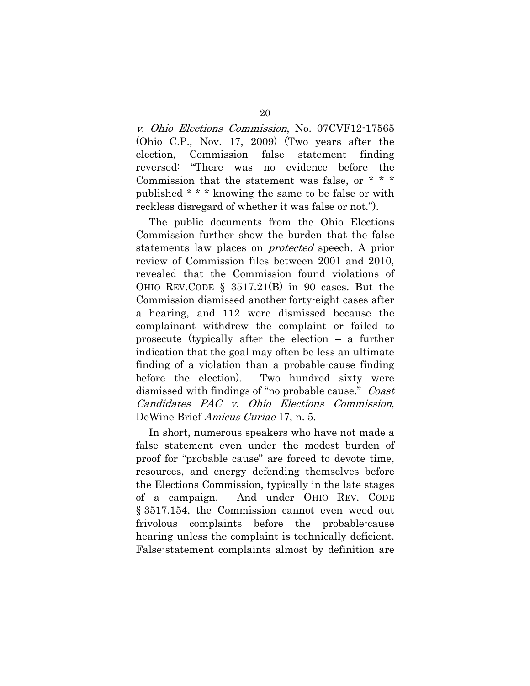v. Ohio Elections Commission, No. 07CVF12-17565 (Ohio C.P., Nov. 17, 2009) (Two years after the election, Commission false statement finding reversed: "There was no evidence before the Commission that the statement was false, or \* \* \* published \* \* \* knowing the same to be false or with reckless disregard of whether it was false or not.").

The public documents from the Ohio Elections Commission further show the burden that the false statements law places on protected speech. A prior review of Commission files between 2001 and 2010, revealed that the Commission found violations of OHIO REV.CODE § 3517.21(B) in 90 cases. But the Commission dismissed another forty-eight cases after a hearing, and 112 were dismissed because the complainant withdrew the complaint or failed to prosecute (typically after the election – a further indication that the goal may often be less an ultimate finding of a violation than a probable-cause finding before the election). Two hundred sixty were dismissed with findings of "no probable cause." Coast Candidates PAC v. Ohio Elections Commission, DeWine Brief Amicus Curiae 17, n. 5.

In short, numerous speakers who have not made a false statement even under the modest burden of proof for "probable cause" are forced to devote time, resources, and energy defending themselves before the Elections Commission, typically in the late stages of a campaign. And under OHIO REV. CODE § 3517.154, the Commission cannot even weed out frivolous complaints before the probable-cause hearing unless the complaint is technically deficient. False-statement complaints almost by definition are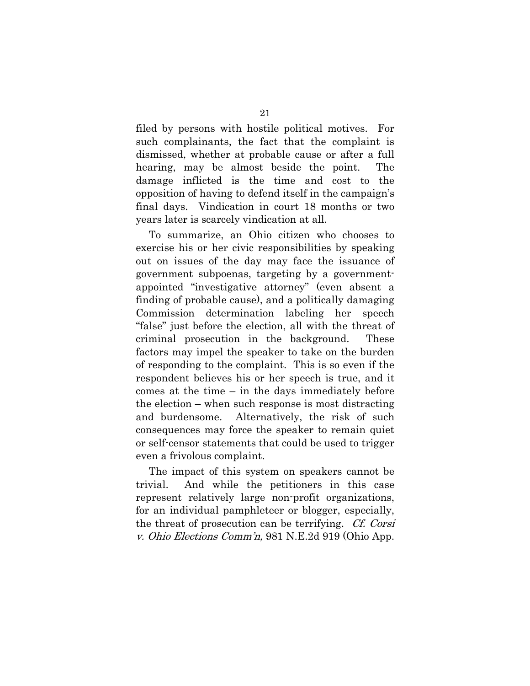filed by persons with hostile political motives. For such complainants, the fact that the complaint is dismissed, whether at probable cause or after a full hearing, may be almost beside the point. The damage inflicted is the time and cost to the opposition of having to defend itself in the campaign's final days. Vindication in court 18 months or two years later is scarcely vindication at all.

To summarize, an Ohio citizen who chooses to exercise his or her civic responsibilities by speaking out on issues of the day may face the issuance of government subpoenas, targeting by a governmentappointed "investigative attorney" (even absent a finding of probable cause), and a politically damaging Commission determination labeling her speech "false" just before the election, all with the threat of criminal prosecution in the background. These factors may impel the speaker to take on the burden of responding to the complaint. This is so even if the respondent believes his or her speech is true, and it comes at the time – in the days immediately before the election – when such response is most distracting and burdensome. Alternatively, the risk of such consequences may force the speaker to remain quiet or self-censor statements that could be used to trigger even a frivolous complaint.

The impact of this system on speakers cannot be trivial. And while the petitioners in this case represent relatively large non-profit organizations, for an individual pamphleteer or blogger, especially, the threat of prosecution can be terrifying. Cf. Corsi v. Ohio Elections Comm'n, 981 N.E.2d 919 (Ohio App.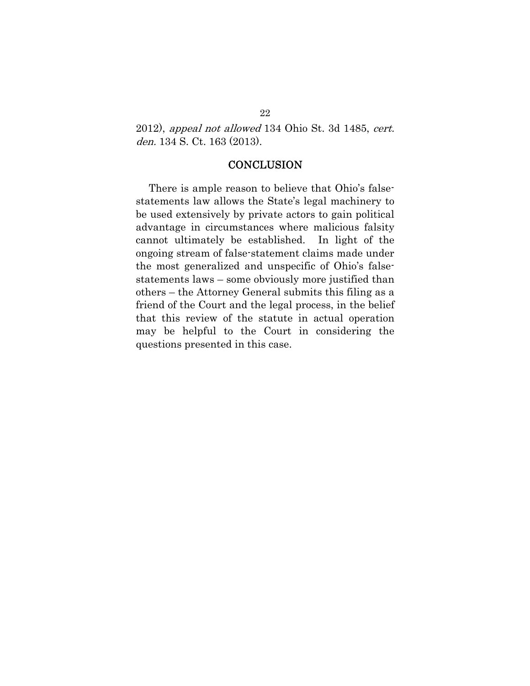2012), appeal not allowed 134 Ohio St. 3d 1485, cert. den. 134 S. Ct. 163 (2013).

## **CONCLUSION**

There is ample reason to believe that Ohio's falsestatements law allows the State's legal machinery to be used extensively by private actors to gain political advantage in circumstances where malicious falsity cannot ultimately be established. In light of the ongoing stream of false-statement claims made under the most generalized and unspecific of Ohio's falsestatements laws – some obviously more justified than others – the Attorney General submits this filing as a friend of the Court and the legal process, in the belief that this review of the statute in actual operation may be helpful to the Court in considering the questions presented in this case.